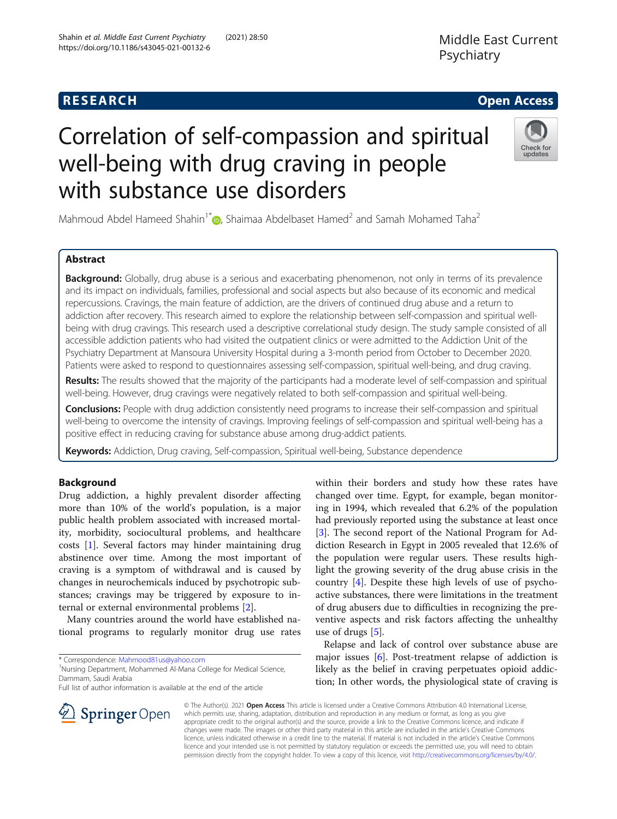with substance use disorders

# **RESEARCH CHE Open Access**

# Check for updates

Mahmoud Abdel Hameed Shahin<sup>1\*</sup> , Shaimaa Abdelbaset Hamed<sup>2</sup> and Samah Mohamed Taha<sup>2</sup>

Correlation of self-compassion and spiritual

well-being with drug craving in people

# Abstract

**Background:** Globally, drug abuse is a serious and exacerbating phenomenon, not only in terms of its prevalence and its impact on individuals, families, professional and social aspects but also because of its economic and medical repercussions. Cravings, the main feature of addiction, are the drivers of continued drug abuse and a return to addiction after recovery. This research aimed to explore the relationship between self-compassion and spiritual wellbeing with drug cravings. This research used a descriptive correlational study design. The study sample consisted of all accessible addiction patients who had visited the outpatient clinics or were admitted to the Addiction Unit of the Psychiatry Department at Mansoura University Hospital during a 3-month period from October to December 2020. Patients were asked to respond to questionnaires assessing self-compassion, spiritual well-being, and drug craving.

Results: The results showed that the majority of the participants had a moderate level of self-compassion and spiritual well-being. However, drug cravings were negatively related to both self-compassion and spiritual well-being.

Conclusions: People with drug addiction consistently need programs to increase their self-compassion and spiritual well-being to overcome the intensity of cravings. Improving feelings of self-compassion and spiritual well-being has a positive effect in reducing craving for substance abuse among drug-addict patients.

Keywords: Addiction, Drug craving, Self-compassion, Spiritual well-being, Substance dependence

# Background

Drug addiction, a highly prevalent disorder affecting more than 10% of the world's population, is a major public health problem associated with increased mortality, morbidity, sociocultural problems, and healthcare costs [[1\]](#page-10-0). Several factors may hinder maintaining drug abstinence over time. Among the most important of craving is a symptom of withdrawal and is caused by changes in neurochemicals induced by psychotropic substances; cravings may be triggered by exposure to internal or external environmental problems [\[2\]](#page-10-0).

Many countries around the world have established national programs to regularly monitor drug use rates

\* Correspondence: [Mahmood81us@yahoo.com](mailto:Mahmood81us@yahoo.com) <sup>1</sup>

SpringerOpen

<sup>1</sup>Nursing Department, Mohammed Al-Mana College for Medical Science, Dammam, Saudi Arabia

Full list of author information is available at the end of the article



Relapse and lack of control over substance abuse are major issues [\[6](#page-10-0)]. Post-treatment relapse of addiction is likely as the belief in craving perpetuates opioid addiction; In other words, the physiological state of craving is

© The Author(s). 2021 Open Access This article is licensed under a Creative Commons Attribution 4.0 International License, which permits use, sharing, adaptation, distribution and reproduction in any medium or format, as long as you give appropriate credit to the original author(s) and the source, provide a link to the Creative Commons licence, and indicate if changes were made. The images or other third party material in this article are included in the article's Creative Commons licence, unless indicated otherwise in a credit line to the material. If material is not included in the article's Creative Commons licence and your intended use is not permitted by statutory regulation or exceeds the permitted use, you will need to obtain permission directly from the copyright holder. To view a copy of this licence, visit <http://creativecommons.org/licenses/by/4.0/>.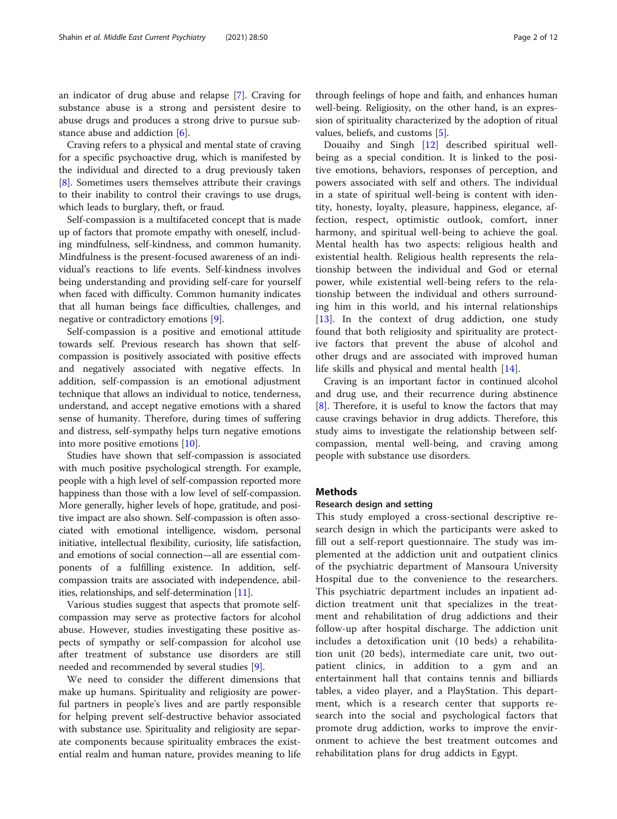an indicator of drug abuse and relapse [\[7](#page-10-0)]. Craving for substance abuse is a strong and persistent desire to abuse drugs and produces a strong drive to pursue substance abuse and addiction [\[6](#page-10-0)].

Craving refers to a physical and mental state of craving for a specific psychoactive drug, which is manifested by the individual and directed to a drug previously taken [[8\]](#page-11-0). Sometimes users themselves attribute their cravings to their inability to control their cravings to use drugs, which leads to burglary, theft, or fraud.

Self-compassion is a multifaceted concept that is made up of factors that promote empathy with oneself, including mindfulness, self-kindness, and common humanity. Mindfulness is the present-focused awareness of an individual's reactions to life events. Self-kindness involves being understanding and providing self-care for yourself when faced with difficulty. Common humanity indicates that all human beings face difficulties, challenges, and negative or contradictory emotions [\[9](#page-11-0)].

Self-compassion is a positive and emotional attitude towards self. Previous research has shown that selfcompassion is positively associated with positive effects and negatively associated with negative effects. In addition, self-compassion is an emotional adjustment technique that allows an individual to notice, tenderness, understand, and accept negative emotions with a shared sense of humanity. Therefore, during times of suffering and distress, self-sympathy helps turn negative emotions into more positive emotions [\[10](#page-11-0)].

Studies have shown that self-compassion is associated with much positive psychological strength. For example, people with a high level of self-compassion reported more happiness than those with a low level of self-compassion. More generally, higher levels of hope, gratitude, and positive impact are also shown. Self-compassion is often associated with emotional intelligence, wisdom, personal initiative, intellectual flexibility, curiosity, life satisfaction, and emotions of social connection—all are essential components of a fulfilling existence. In addition, selfcompassion traits are associated with independence, abilities, relationships, and self-determination [\[11\]](#page-11-0).

Various studies suggest that aspects that promote selfcompassion may serve as protective factors for alcohol abuse. However, studies investigating these positive aspects of sympathy or self-compassion for alcohol use after treatment of substance use disorders are still needed and recommended by several studies [[9\]](#page-11-0).

We need to consider the different dimensions that make up humans. Spirituality and religiosity are powerful partners in people's lives and are partly responsible for helping prevent self-destructive behavior associated with substance use. Spirituality and religiosity are separate components because spirituality embraces the existential realm and human nature, provides meaning to life

through feelings of hope and faith, and enhances human well-being. Religiosity, on the other hand, is an expression of spirituality characterized by the adoption of ritual values, beliefs, and customs [\[5](#page-10-0)].

Douaihy and Singh [[12](#page-11-0)] described spiritual wellbeing as a special condition. It is linked to the positive emotions, behaviors, responses of perception, and powers associated with self and others. The individual in a state of spiritual well-being is content with identity, honesty, loyalty, pleasure, happiness, elegance, affection, respect, optimistic outlook, comfort, inner harmony, and spiritual well-being to achieve the goal. Mental health has two aspects: religious health and existential health. Religious health represents the relationship between the individual and God or eternal power, while existential well-being refers to the relationship between the individual and others surrounding him in this world, and his internal relationships [[13\]](#page-11-0). In the context of drug addiction, one study found that both religiosity and spirituality are protective factors that prevent the abuse of alcohol and other drugs and are associated with improved human life skills and physical and mental health [\[14](#page-11-0)].

Craving is an important factor in continued alcohol and drug use, and their recurrence during abstinence [[8\]](#page-11-0). Therefore, it is useful to know the factors that may cause cravings behavior in drug addicts. Therefore, this study aims to investigate the relationship between selfcompassion, mental well-being, and craving among people with substance use disorders.

# **Methods**

#### Research design and setting

This study employed a cross-sectional descriptive research design in which the participants were asked to fill out a self-report questionnaire. The study was implemented at the addiction unit and outpatient clinics of the psychiatric department of Mansoura University Hospital due to the convenience to the researchers. This psychiatric department includes an inpatient addiction treatment unit that specializes in the treatment and rehabilitation of drug addictions and their follow-up after hospital discharge. The addiction unit includes a detoxification unit (10 beds) a rehabilitation unit (20 beds), intermediate care unit, two outpatient clinics, in addition to a gym and an entertainment hall that contains tennis and billiards tables, a video player, and a PlayStation. This department, which is a research center that supports research into the social and psychological factors that promote drug addiction, works to improve the environment to achieve the best treatment outcomes and rehabilitation plans for drug addicts in Egypt.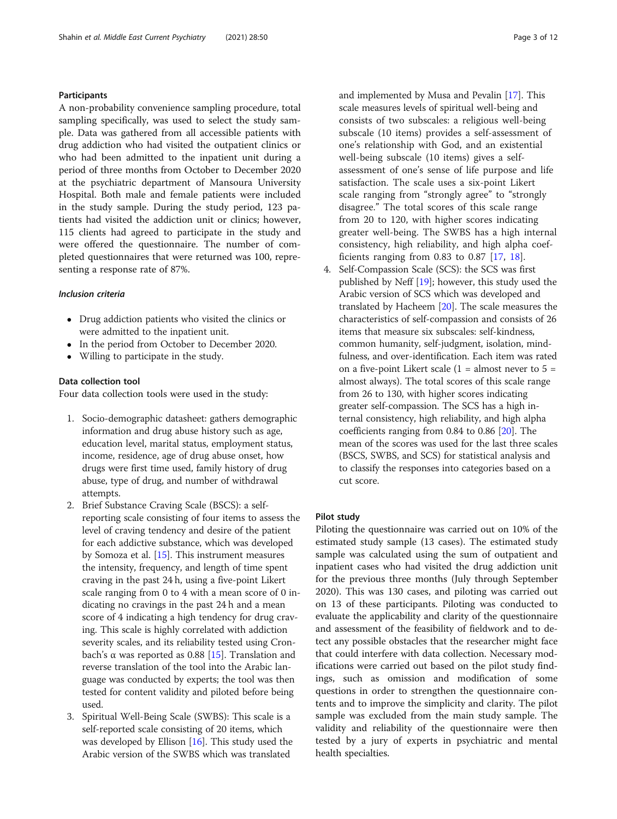# **Participants**

A non-probability convenience sampling procedure, total sampling specifically, was used to select the study sample. Data was gathered from all accessible patients with drug addiction who had visited the outpatient clinics or who had been admitted to the inpatient unit during a period of three months from October to December 2020 at the psychiatric department of Mansoura University Hospital. Both male and female patients were included in the study sample. During the study period, 123 patients had visited the addiction unit or clinics; however, 115 clients had agreed to participate in the study and were offered the questionnaire. The number of completed questionnaires that were returned was 100, representing a response rate of 87%.

### Inclusion criteria

- Drug addiction patients who visited the clinics or were admitted to the inpatient unit.
- In the period from October to December 2020.
- Willing to participate in the study.

# Data collection tool

Four data collection tools were used in the study:

- 1. Socio-demographic datasheet: gathers demographic information and drug abuse history such as age, education level, marital status, employment status, income, residence, age of drug abuse onset, how drugs were first time used, family history of drug abuse, type of drug, and number of withdrawal attempts.
- 2. Brief Substance Craving Scale (BSCS): a selfreporting scale consisting of four items to assess the level of craving tendency and desire of the patient for each addictive substance, which was developed by Somoza et al. [[15](#page-11-0)]. This instrument measures the intensity, frequency, and length of time spent craving in the past 24 h, using a five-point Likert scale ranging from 0 to 4 with a mean score of 0 indicating no cravings in the past 24 h and a mean score of 4 indicating a high tendency for drug craving. This scale is highly correlated with addiction severity scales, and its reliability tested using Cron-bach's α was reported as 0.88 [[15](#page-11-0)]. Translation and reverse translation of the tool into the Arabic language was conducted by experts; the tool was then tested for content validity and piloted before being used.
- 3. Spiritual Well-Being Scale (SWBS): This scale is a self-reported scale consisting of 20 items, which was developed by Ellison  $[16]$  $[16]$ . This study used the Arabic version of the SWBS which was translated

and implemented by Musa and Pevalin [[17](#page-11-0)]. This scale measures levels of spiritual well-being and consists of two subscales: a religious well-being subscale (10 items) provides a self-assessment of one's relationship with God, and an existential well-being subscale (10 items) gives a selfassessment of one's sense of life purpose and life satisfaction. The scale uses a six-point Likert scale ranging from "strongly agree" to "strongly disagree." The total scores of this scale range from 20 to 120, with higher scores indicating greater well-being. The SWBS has a high internal consistency, high reliability, and high alpha coefficients ranging from 0.83 to 0.87  $[17, 18]$  $[17, 18]$  $[17, 18]$  $[17, 18]$ .

4. Self-Compassion Scale (SCS): the SCS was first published by Neff [[19](#page-11-0)]; however, this study used the Arabic version of SCS which was developed and translated by Hacheem [\[20\]](#page-11-0). The scale measures the characteristics of self-compassion and consists of 26 items that measure six subscales: self-kindness, common humanity, self-judgment, isolation, mindfulness, and over-identification. Each item was rated on a five-point Likert scale  $(1 =$  almost never to  $5 =$ almost always). The total scores of this scale range from 26 to 130, with higher scores indicating greater self-compassion. The SCS has a high internal consistency, high reliability, and high alpha coefficients ranging from 0.84 to 0.86 [\[20\]](#page-11-0). The mean of the scores was used for the last three scales (BSCS, SWBS, and SCS) for statistical analysis and to classify the responses into categories based on a cut score.

# Pilot study

Piloting the questionnaire was carried out on 10% of the estimated study sample (13 cases). The estimated study sample was calculated using the sum of outpatient and inpatient cases who had visited the drug addiction unit for the previous three months (July through September 2020). This was 130 cases, and piloting was carried out on 13 of these participants. Piloting was conducted to evaluate the applicability and clarity of the questionnaire and assessment of the feasibility of fieldwork and to detect any possible obstacles that the researcher might face that could interfere with data collection. Necessary modifications were carried out based on the pilot study findings, such as omission and modification of some questions in order to strengthen the questionnaire contents and to improve the simplicity and clarity. The pilot sample was excluded from the main study sample. The validity and reliability of the questionnaire were then tested by a jury of experts in psychiatric and mental health specialties.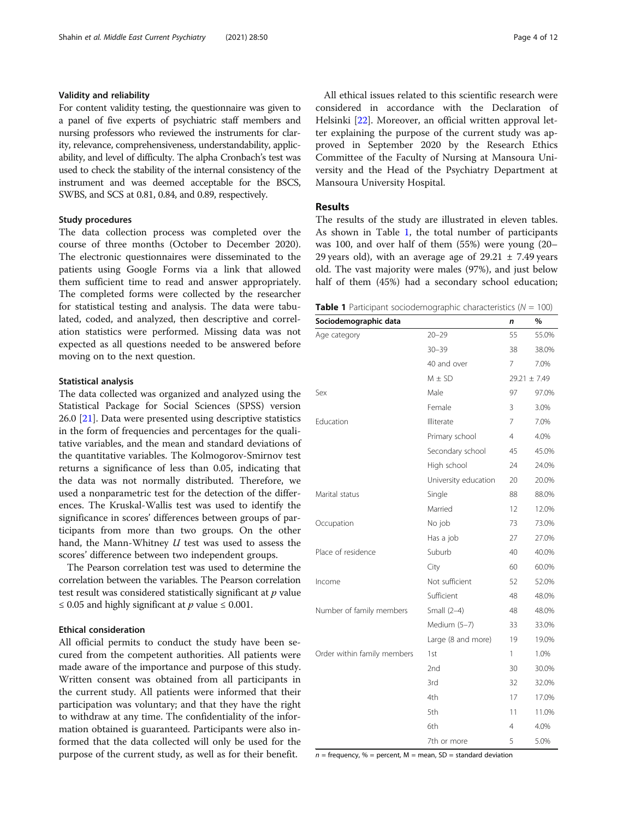# Validity and reliability

For content validity testing, the questionnaire was given to a panel of five experts of psychiatric staff members and nursing professors who reviewed the instruments for clarity, relevance, comprehensiveness, understandability, applicability, and level of difficulty. The alpha Cronbach's test was used to check the stability of the internal consistency of the instrument and was deemed acceptable for the BSCS, SWBS, and SCS at 0.81, 0.84, and 0.89, respectively.

### Study procedures

The data collection process was completed over the course of three months (October to December 2020). The electronic questionnaires were disseminated to the patients using Google Forms via a link that allowed them sufficient time to read and answer appropriately. The completed forms were collected by the researcher for statistical testing and analysis. The data were tabulated, coded, and analyzed, then descriptive and correlation statistics were performed. Missing data was not expected as all questions needed to be answered before moving on to the next question.

#### Statistical analysis

The data collected was organized and analyzed using the Statistical Package for Social Sciences (SPSS) version 26.0 [[21](#page-11-0)]. Data were presented using descriptive statistics in the form of frequencies and percentages for the qualitative variables, and the mean and standard deviations of the quantitative variables. The Kolmogorov-Smirnov test returns a significance of less than 0.05, indicating that the data was not normally distributed. Therefore, we used a nonparametric test for the detection of the differences. The Kruskal-Wallis test was used to identify the significance in scores' differences between groups of participants from more than two groups. On the other hand, the Mann-Whitney U test was used to assess the scores' difference between two independent groups.

The Pearson correlation test was used to determine the correlation between the variables. The Pearson correlation test result was considered statistically significant at  $p$  value ≤ 0.05 and highly significant at *p* value ≤ 0.001.

#### Ethical consideration

All official permits to conduct the study have been secured from the competent authorities. All patients were made aware of the importance and purpose of this study. Written consent was obtained from all participants in the current study. All patients were informed that their participation was voluntary; and that they have the right to withdraw at any time. The confidentiality of the information obtained is guaranteed. Participants were also informed that the data collected will only be used for the purpose of the current study, as well as for their benefit.

All ethical issues related to this scientific research were considered in accordance with the Declaration of Helsinki [\[22\]](#page-11-0). Moreover, an official written approval letter explaining the purpose of the current study was approved in September 2020 by the Research Ethics Committee of the Faculty of Nursing at Mansoura University and the Head of the Psychiatry Department at Mansoura University Hospital.

# Results

The results of the study are illustrated in eleven tables. As shown in Table 1, the total number of participants was 100, and over half of them (55%) were young (20– 29 years old), with an average age of  $29.21 \pm 7.49$  years old. The vast majority were males (97%), and just below half of them (45%) had a secondary school education;

**Table 1** Participant sociodemographic characteristics ( $N = 100$ )

| Sociodemographic data       |                      | n              | %                |
|-----------------------------|----------------------|----------------|------------------|
| Age category                | $20 - 29$            | 55             | 55.0%            |
|                             | $30 - 39$            | 38             | 38.0%            |
|                             | 40 and over          | 7              | 7.0%             |
|                             | $M \pm SD$           |                | $29.21 \pm 7.49$ |
| Sex                         | Male                 | 97             | 97.0%            |
|                             | Female               | 3              | 3.0%             |
| Education                   | Illiterate           | 7              | 7.0%             |
|                             | Primary school       | $\overline{4}$ | 4.0%             |
|                             | Secondary school     | 45             | 45.0%            |
|                             | High school          | 24             | 24.0%            |
|                             | University education | 20             | 20.0%            |
| Marital status              | Single               | 88             | 88.0%            |
|                             | Married              | 12             | 12.0%            |
| Occupation                  | No job               | 73             | 73.0%            |
|                             | Has a job            | 27             | 27.0%            |
| Place of residence          | Suburb               | 40             | 40.0%            |
|                             | City                 | 60             | 60.0%            |
| Income                      | Not sufficient       | 52             | 52.0%            |
|                             | Sufficient           | 48             | 48.0%            |
| Number of family members    | Small $(2-4)$        | 48             | 48.0%            |
|                             | Medium (5-7)         | 33             | 33.0%            |
|                             | Large (8 and more)   | 19             | 19.0%            |
| Order within family members | 1st                  | 1              | 1.0%             |
|                             | 2nd                  | 30             | 30.0%            |
|                             | 3rd                  | 32             | 32.0%            |
|                             | 4th                  | 17             | 17.0%            |
|                             | 5th                  | 11             | 11.0%            |
|                             | 6th                  | 4              | 4.0%             |
|                             | 7th or more          | 5              | 5.0%             |

 $n =$  frequency, % = percent, M = mean, SD = standard deviation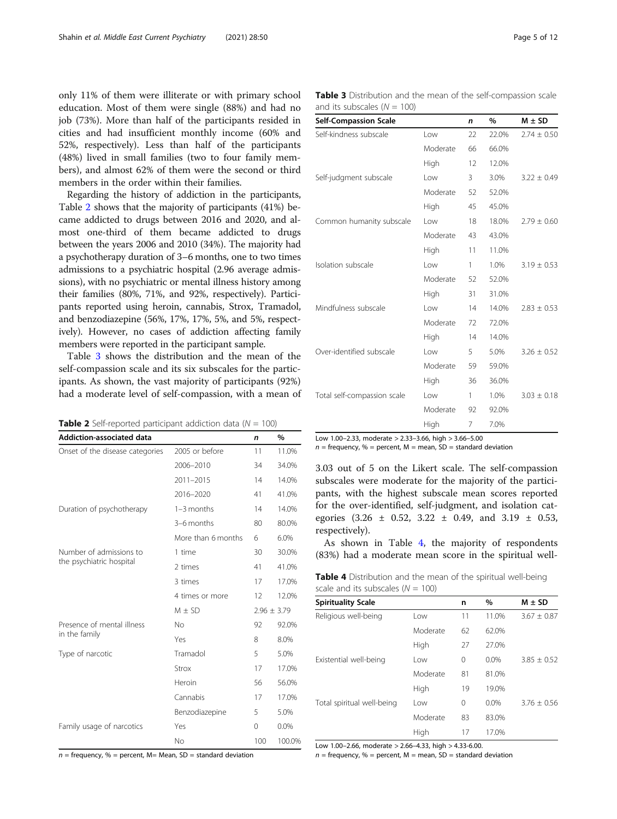only 11% of them were illiterate or with primary school education. Most of them were single (88%) and had no job (73%). More than half of the participants resided in cities and had insufficient monthly income (60% and 52%, respectively). Less than half of the participants (48%) lived in small families (two to four family members), and almost 62% of them were the second or third members in the order within their families.

Regarding the history of addiction in the participants, Table 2 shows that the majority of participants (41%) became addicted to drugs between 2016 and 2020, and almost one-third of them became addicted to drugs between the years 2006 and 2010 (34%). The majority had a psychotherapy duration of 3–6 months, one to two times admissions to a psychiatric hospital (2.96 average admissions), with no psychiatric or mental illness history among their families (80%, 71%, and 92%, respectively). Participants reported using heroin, cannabis, Strox, Tramadol, and benzodiazepine (56%, 17%, 17%, 5%, and 5%, respectively). However, no cases of addiction affecting family members were reported in the participant sample.

Table 3 shows the distribution and the mean of the self-compassion scale and its six subscales for the participants. As shown, the vast majority of participants (92%) had a moderate level of self-compassion, with a mean of

| <b>Table 2</b> Self-reported participant addiction data ( $N = 100$ ) |  |  |  |  |
|-----------------------------------------------------------------------|--|--|--|--|
|-----------------------------------------------------------------------|--|--|--|--|

| <b>Addiction-associated data</b>                    |                    | n   | $\%$            |
|-----------------------------------------------------|--------------------|-----|-----------------|
| Onset of the disease categories                     | 2005 or before     | 11  | 11.0%           |
|                                                     | 2006-2010          | 34  | 34.0%           |
|                                                     | 2011-2015          | 14  | 14.0%           |
|                                                     | 2016-2020          | 41  | 41.0%           |
| Duration of psychotherapy                           | 1-3 months         | 14  | 14.0%           |
|                                                     | 3-6 months         | 80  | 80.0%           |
|                                                     | More than 6 months | 6   | 6.0%            |
| Number of admissions to<br>the psychiatric hospital | 1 time             | 30  | 30.0%           |
|                                                     | 2 times            | 41  | 41.0%           |
|                                                     | 3 times            | 17  | 17.0%           |
|                                                     | 4 times or more    | 12  | 12.0%           |
|                                                     | $M \pm SD$         |     | $2.96 \pm 3.79$ |
| Presence of mental illness                          | No                 | 92  | 92.0%           |
| in the family                                       | Yes                | 8   | 8.0%            |
| Type of narcotic                                    | Tramadol           | 5   | 5.0%            |
|                                                     | Strox              | 17  | 17.0%           |
|                                                     | Heroin             | 56  | 56.0%           |
|                                                     | Cannabis           | 17  | 17.0%           |
|                                                     | Benzodiazepine     | 5   | 5.0%            |
| Family usage of narcotics                           | Yes                | 0   | 0.0%            |
|                                                     | No                 | 100 | 100.0%          |

Table 3 Distribution and the mean of the self-compassion scale and its subscales  $(N = 100)$ 

| <b>Self-Compassion Scale</b> |          | $\mathsf{n}$ | %     | $M \pm SD$      |
|------------------------------|----------|--------------|-------|-----------------|
| Self-kindness subscale       | l ow     | 22           | 22.0% | $2.74 \pm 0.50$ |
|                              | Moderate | 66           | 66.0% |                 |
|                              | High     | 12           | 12.0% |                 |
| Self-judgment subscale       | Low      | 3            | 3.0%  | $3.22 \pm 0.49$ |
|                              | Moderate | 52           | 52.0% |                 |
|                              | High     | 45           | 45.0% |                 |
| Common humanity subscale     | Low      | 18           | 18.0% | $2.79 \pm 0.60$ |
|                              | Moderate | 43           | 43.0% |                 |
|                              | High     | 11           | 11.0% |                 |
| Isolation subscale           | Low      | 1            | 1.0%  | $3.19 \pm 0.53$ |
|                              | Moderate | 52           | 52.0% |                 |
|                              | High     | 31           | 31.0% |                 |
| Mindfulness subscale         | Low      | 14           | 14.0% | $2.83 \pm 0.53$ |
|                              | Moderate | 72           | 72.0% |                 |
|                              | High     | 14           | 14.0% |                 |
| Over-identified subscale     | l ow     | 5            | 5.0%  | $3.26 \pm 0.52$ |
|                              | Moderate | 59           | 59.0% |                 |
|                              | High     | 36           | 36.0% |                 |
| Total self-compassion scale  | Low      | 1            | 1.0%  | $3.03 \pm 0.18$ |
|                              | Moderate | 92           | 92.0% |                 |
|                              | High     | 7            | 7.0%  |                 |

Low 1.00–2.33, moderate > 2.33–3.66, high > 3.66–5.00

 $n =$  frequency, % = percent, M = mean,  $SD =$  standard deviation

3.03 out of 5 on the Likert scale. The self-compassion subscales were moderate for the majority of the participants, with the highest subscale mean scores reported for the over-identified, self-judgment, and isolation categories  $(3.26 \pm 0.52, 3.22 \pm 0.49, \text{ and } 3.19 \pm 0.53,$ respectively).

As shown in Table 4, the majority of respondents (83%) had a moderate mean score in the spiritual well-

Table 4 Distribution and the mean of the spiritual well-being scale and its subscales  $(N = 100)$ 

| <b>Spirituality Scale</b>  |          | n        | %     | $M \pm SD$      |
|----------------------------|----------|----------|-------|-----------------|
| Religious well-being       | Low      | 11       | 11.0% | $3.67 \pm 0.87$ |
|                            | Moderate | 62       | 62.0% |                 |
|                            | High     | 27       | 27.0% |                 |
| Existential well-being     | Low      | 0        | 0.0%  | $3.85 \pm 0.52$ |
|                            | Moderate | 81       | 81.0% |                 |
|                            | High     | 19       | 19.0% |                 |
| Total spiritual well-being | Low      | $\Omega$ | 0.0%  | $3.76 + 0.56$   |
|                            | Moderate | 83       | 83.0% |                 |
|                            | High     | 17       | 17.0% |                 |

Low 1.00–2.66, moderate > 2.66–4.33, high > 4.33-6.00.

 $n =$  frequency, % = percent, M = mean, SD = standard deviation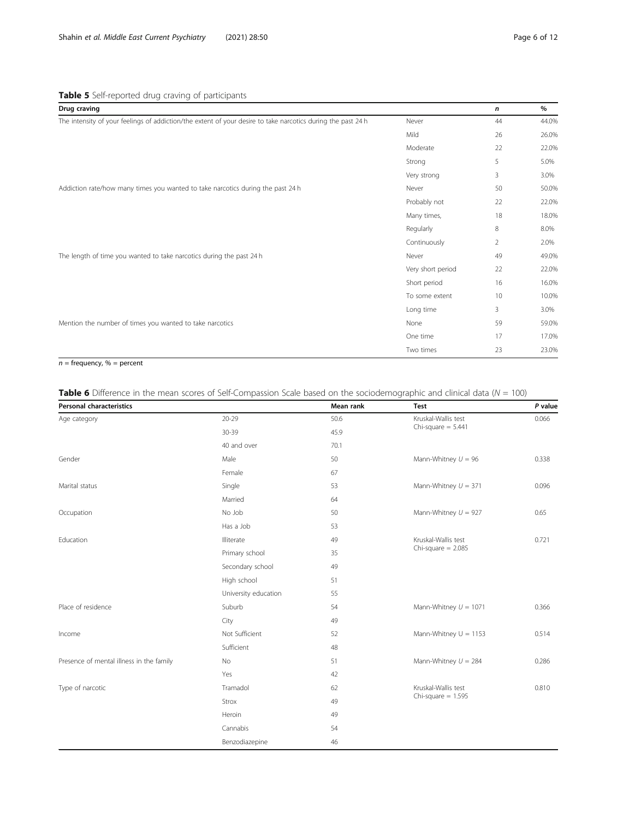<span id="page-5-0"></span>

| Drug craving                                                                                                 |                   | n              | $\%$  |
|--------------------------------------------------------------------------------------------------------------|-------------------|----------------|-------|
| The intensity of your feelings of addiction/the extent of your desire to take narcotics during the past 24 h | Never             | 44             | 44.0% |
|                                                                                                              | Mild              | 26             | 26.0% |
|                                                                                                              | Moderate          | 22             | 22.0% |
|                                                                                                              | Strong            | 5              | 5.0%  |
|                                                                                                              | Very strong       | 3              | 3.0%  |
| Addiction rate/how many times you wanted to take narcotics during the past 24 h                              | Never             | 50             | 50.0% |
|                                                                                                              | Probably not      | 22             | 22.0% |
|                                                                                                              | Many times,       | 18             | 18.0% |
|                                                                                                              | Regularly         | 8              | 8.0%  |
|                                                                                                              | Continuously      | $\overline{2}$ | 2.0%  |
| The length of time you wanted to take narcotics during the past 24 h                                         | Never             | 49             | 49.0% |
|                                                                                                              | Very short period | 22             | 22.0% |
|                                                                                                              | Short period      | 16             | 16.0% |
|                                                                                                              | To some extent    | 10             | 10.0% |
|                                                                                                              | Long time         | 3              | 3.0%  |
| Mention the number of times you wanted to take narcotics                                                     | None              | 59             | 59.0% |
|                                                                                                              | One time          | 17             | 17.0% |
|                                                                                                              | Two times         | 23             | 23.0% |
|                                                                                                              |                   |                |       |

# $n =$  frequency,  $% =$  percent

# Table 6 Difference in the mean scores of Self-Compassion Scale based on the sociodemographic and clinical data ( $N = 100$ )

| <b>Personal characteristics</b>          |                      | Mean rank | <b>Test</b>             | P value |
|------------------------------------------|----------------------|-----------|-------------------------|---------|
| Age category                             | $20 - 29$            | 50.6      | Kruskal-Wallis test     | 0.066   |
|                                          | 30-39                | 45.9      | Chi-square $= 5.441$    |         |
|                                          | 40 and over          | 70.1      |                         |         |
| Gender                                   | Male                 | 50        | Mann-Whitney $U = 96$   | 0.338   |
|                                          | Female               | 67        |                         |         |
| Marital status                           | Single               | 53        | Mann-Whitney $U = 371$  | 0.096   |
|                                          | Married              | 64        |                         |         |
| Occupation                               | No Job               | 50        | Mann-Whitney $U = 927$  | 0.65    |
|                                          | Has a Job            | 53        |                         |         |
| Education                                | Illiterate           | 49        | Kruskal-Wallis test     | 0.721   |
|                                          | Primary school       | 35        | $Chi-square = 2.085$    |         |
|                                          | Secondary school     | 49        |                         |         |
|                                          | High school          | 51        |                         |         |
|                                          | University education | 55        |                         |         |
| Place of residence                       | Suburb               | 54        | Mann-Whitney $U = 1071$ | 0.366   |
|                                          | City                 | 49        |                         |         |
| Income                                   | Not Sufficient       | 52        | Mann-Whitney $U = 1153$ | 0.514   |
|                                          | Sufficient           | 48        |                         |         |
| Presence of mental illness in the family | No                   | 51        | Mann-Whitney $U = 284$  | 0.286   |
|                                          | Yes                  | 42        |                         |         |
| Type of narcotic                         | Tramadol             | 62        | Kruskal-Wallis test     | 0.810   |
|                                          | Strox                | 49        | Chi-square $= 1.595$    |         |
|                                          | Heroin               | 49        |                         |         |
|                                          | Cannabis             | 54        |                         |         |
|                                          | Benzodiazepine       | 46        |                         |         |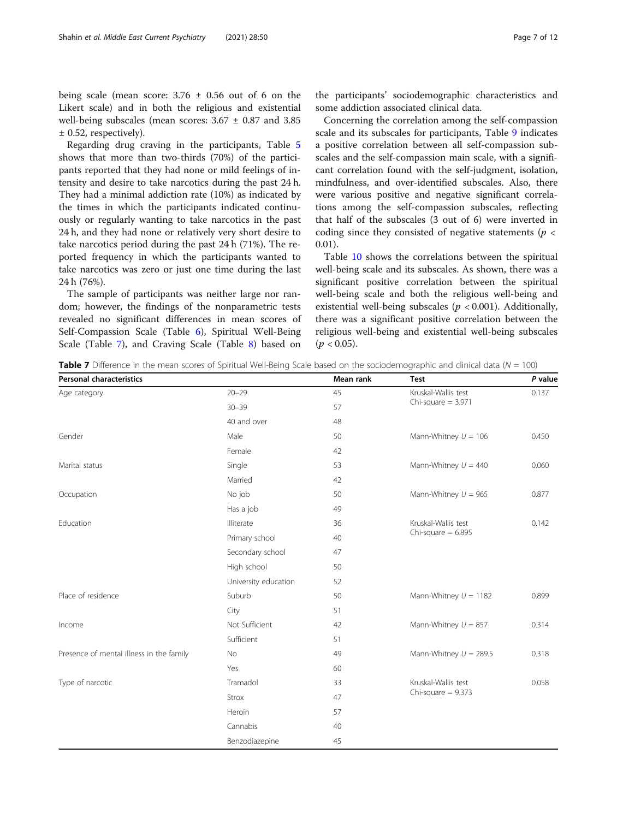being scale (mean score:  $3.76 \pm 0.56$  out of 6 on the Likert scale) and in both the religious and existential well-being subscales (mean scores:  $3.67 \pm 0.87$  and  $3.85$ ± 0.52, respectively).

Regarding drug craving in the participants, Table [5](#page-5-0) shows that more than two-thirds (70%) of the participants reported that they had none or mild feelings of intensity and desire to take narcotics during the past 24 h. They had a minimal addiction rate (10%) as indicated by the times in which the participants indicated continuously or regularly wanting to take narcotics in the past 24 h, and they had none or relatively very short desire to take narcotics period during the past 24 h (71%). The reported frequency in which the participants wanted to take narcotics was zero or just one time during the last 24 h (76%).

The sample of participants was neither large nor random; however, the findings of the nonparametric tests revealed no significant differences in mean scores of Self-Compassion Scale (Table [6\)](#page-5-0), Spiritual Well-Being Scale (Table 7), and Craving Scale (Table [8\)](#page-7-0) based on

the participants' sociodemographic characteristics and some addiction associated clinical data.

Concerning the correlation among the self-compassion scale and its subscales for participants, Table [9](#page-8-0) indicates a positive correlation between all self-compassion subscales and the self-compassion main scale, with a significant correlation found with the self-judgment, isolation, mindfulness, and over-identified subscales. Also, there were various positive and negative significant correlations among the self-compassion subscales, reflecting that half of the subscales (3 out of 6) were inverted in coding since they consisted of negative statements ( $p <$ 0.01).

Table [10](#page-9-0) shows the correlations between the spiritual well-being scale and its subscales. As shown, there was a significant positive correlation between the spiritual well-being scale and both the religious well-being and existential well-being subscales ( $p < 0.001$ ). Additionally, there was a significant positive correlation between the religious well-being and existential well-being subscales  $(p < 0.05)$ .

**Table 7** Difference in the mean scores of Spiritual Well-Being Scale based on the sociodemographic and clinical data ( $N = 100$ )

| <b>Personal characteristics</b>          |                      | Mean rank | <b>Test</b>              | P value |
|------------------------------------------|----------------------|-----------|--------------------------|---------|
| Age category                             | $20 - 29$            | 45        | Kruskal-Wallis test      | 0.137   |
|                                          | $30 - 39$            | 57        | Chi-square $= 3.971$     |         |
|                                          | 40 and over          | 48        |                          |         |
| Gender                                   | Male                 | 50        | Mann-Whitney $U = 106$   | 0.450   |
|                                          | Female               | 42        |                          |         |
| Marital status                           | Single               | 53        | Mann-Whitney $U = 440$   | 0.060   |
|                                          | Married              | 42        |                          |         |
| Occupation                               | No job               | 50        | Mann-Whitney $U = 965$   | 0.877   |
|                                          | Has a job            | 49        |                          |         |
| Education                                | Illiterate           | 36        | Kruskal-Wallis test      | 0.142   |
|                                          | Primary school       | 40        | Chi-square $= 6.895$     |         |
|                                          | Secondary school     | 47        |                          |         |
|                                          | High school          | 50        |                          |         |
|                                          | University education | 52        |                          |         |
| Place of residence                       | Suburb               | 50        | Mann-Whitney $U = 1182$  | 0.899   |
|                                          | City                 | 51        |                          |         |
| Income                                   | Not Sufficient       | 42        | Mann-Whitney $U = 857$   | 0.314   |
|                                          | Sufficient           | 51        |                          |         |
| Presence of mental illness in the family | No                   | 49        | Mann-Whitney $U = 289.5$ | 0.318   |
|                                          | Yes                  | 60        |                          |         |
| Type of narcotic                         | Tramadol             | 33        | Kruskal-Wallis test      | 0.058   |
|                                          | Strox                | 47        | Chi-square $= 9.373$     |         |
|                                          | Heroin               | 57        |                          |         |
|                                          | Cannabis             | 40        |                          |         |
|                                          | Benzodiazepine       | 45        |                          |         |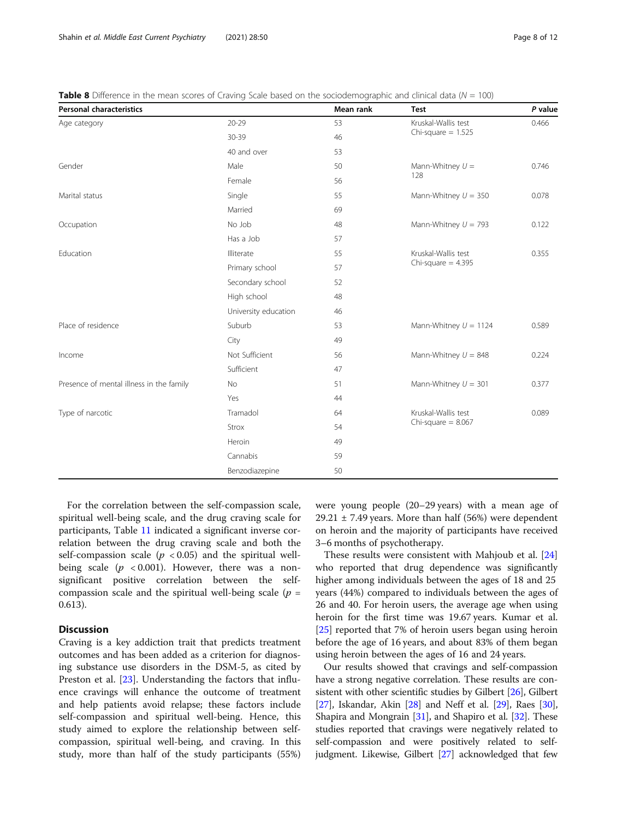| <b>Personal characteristics</b>          |                      | Mean rank | <b>Test</b>             | P value |
|------------------------------------------|----------------------|-----------|-------------------------|---------|
| Age category                             | $20 - 29$            | 53        | Kruskal-Wallis test     | 0.466   |
|                                          | 30-39                | 46        | Chi-square $= 1.525$    |         |
|                                          | 40 and over          | 53        |                         |         |
| Gender                                   | Male                 | 50        | Mann-Whitney $U =$      | 0.746   |
|                                          | Female               | 56        | 128                     |         |
| Marital status                           | Single               | 55        | Mann-Whitney $U = 350$  | 0.078   |
|                                          | Married              | 69        |                         |         |
| Occupation                               | No Job               | 48        | Mann-Whitney $U = 793$  | 0.122   |
|                                          | Has a Job            | 57        |                         |         |
| Education                                | Illiterate           | 55        | Kruskal-Wallis test     | 0.355   |
|                                          | Primary school       | 57        | Chi-square $= 4.395$    |         |
|                                          | Secondary school     | 52        |                         |         |
|                                          | High school          | 48        |                         |         |
|                                          | University education | 46        |                         |         |
| Place of residence                       | Suburb               | 53        | Mann-Whitney $U = 1124$ | 0.589   |
|                                          | City                 | 49        |                         |         |
| Income                                   | Not Sufficient       | 56        | Mann-Whitney $U = 848$  | 0.224   |
|                                          | Sufficient           | 47        |                         |         |
| Presence of mental illness in the family | No                   | 51        | Mann-Whitney $U = 301$  | 0.377   |
|                                          | Yes                  | 44        |                         |         |
| Type of narcotic                         | Tramadol             | 64        | Kruskal-Wallis test     | 0.089   |
|                                          | Strox                | 54        | Chi-square $= 8.067$    |         |
|                                          | Heroin               | 49        |                         |         |
|                                          | Cannabis             | 59        |                         |         |
|                                          | Benzodiazepine       | 50        |                         |         |

<span id="page-7-0"></span>Table 8 Difference in the mean scores of Craving Scale based on the sociodemographic and clinical data ( $N = 100$ )

For the correlation between the self-compassion scale, spiritual well-being scale, and the drug craving scale for participants, Table [11](#page-9-0) indicated a significant inverse correlation between the drug craving scale and both the self-compassion scale ( $p < 0.05$ ) and the spiritual wellbeing scale  $(p \lt 0.001)$ . However, there was a nonsignificant positive correlation between the selfcompassion scale and the spiritual well-being scale ( $p =$ 0.613).

# **Discussion**

Craving is a key addiction trait that predicts treatment outcomes and has been added as a criterion for diagnosing substance use disorders in the DSM-5, as cited by Preston et al. [\[23](#page-11-0)]. Understanding the factors that influence cravings will enhance the outcome of treatment and help patients avoid relapse; these factors include self-compassion and spiritual well-being. Hence, this study aimed to explore the relationship between selfcompassion, spiritual well-being, and craving. In this study, more than half of the study participants (55%) were young people (20–29 years) with a mean age of 29.21  $\pm$  7.49 years. More than half (56%) were dependent on heroin and the majority of participants have received 3–6 months of psychotherapy.

These results were consistent with Mahjoub et al. [[24](#page-11-0)] who reported that drug dependence was significantly higher among individuals between the ages of 18 and 25 years (44%) compared to individuals between the ages of 26 and 40. For heroin users, the average age when using heroin for the first time was 19.67 years. Kumar et al. [[25\]](#page-11-0) reported that 7% of heroin users began using heroin before the age of 16 years, and about 83% of them began using heroin between the ages of 16 and 24 years.

Our results showed that cravings and self-compassion have a strong negative correlation. These results are con-sistent with other scientific studies by Gilbert [[26](#page-11-0)], Gilbert [[27](#page-11-0)], Iskandar, Akin [\[28\]](#page-11-0) and Neff et al. [\[29\]](#page-11-0), Raes [[30](#page-11-0)], Shapira and Mongrain [[31](#page-11-0)], and Shapiro et al. [[32](#page-11-0)]. These studies reported that cravings were negatively related to self-compassion and were positively related to selfjudgment. Likewise, Gilbert [\[27\]](#page-11-0) acknowledged that few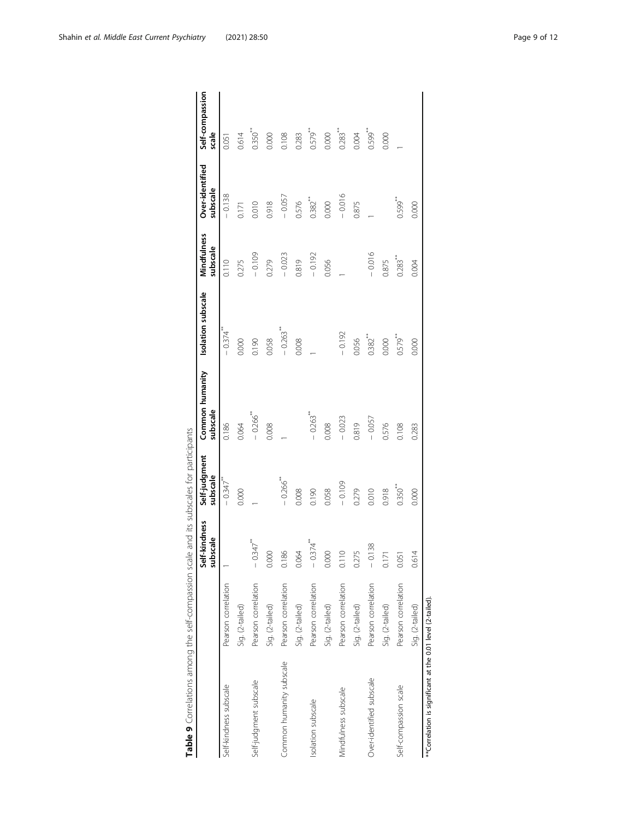<span id="page-8-0"></span>

|                                                             |                     | Self-kindness<br>subscale | Self-judgment<br>subscale | Common humanity<br>subscale | Isolation subscale     | Mindfulness<br>subscale | Over-identified<br>subscale | Self-compassion<br>scale |
|-------------------------------------------------------------|---------------------|---------------------------|---------------------------|-----------------------------|------------------------|-------------------------|-----------------------------|--------------------------|
| Self-kindness subscale                                      | Pearson correlation |                           | $-0.347$                  | 0.186                       | $-0.374$               | 0.110                   | $-0.138$                    | 0.051                    |
|                                                             | Sig. (2-tailed)     |                           | 0.000                     | 0.064                       | 0.000                  | 0.275                   | 0.171                       | 0.614                    |
| Self-judgment subscale                                      | Pearson correlation | $-0.347$ <sup>**</sup>    |                           | $-0.266$ <sup>**</sup>      | 0.190                  | $-0.109$                | 0.010                       | $0.350**$                |
|                                                             | Sig. (2-tailed)     | 0.000                     |                           | 0.008                       | 0.058                  | 0.279                   | 0.918                       | 0.000                    |
| Common humanity subscale                                    | Pearson correlation | 0.186                     | $-0.266$ <sup>***</sup>   |                             | $-0.263$ <sup>**</sup> | $-0.023$                | $-0.057$                    | 0.108                    |
|                                                             | Sig. (2-tailed)     | 0.064                     | 0.008                     |                             | 0.008                  | 0.819                   | 0.576                       | 0.283                    |
| Isolation subscale                                          | Pearson correlation | $-0.374$ <sup>**</sup>    | 0.190                     | $-0.263$ <sup>**</sup>      |                        | $-0.192$                | $0.382$ <sup>**</sup>       | 0.579**                  |
|                                                             | Sig. (2-tailed)     | 0.000                     | 0.058                     | 0.008                       |                        | 0.056                   | 0.000                       | 0.000                    |
| Mindfulness subscale                                        | Pearson correlation | 0.110                     | $-0.109$                  | $-0.023$                    | $-0.192$               |                         | $-0.016$                    | $0.283**$                |
|                                                             | Sig. (2-tailed)     | 0.275                     | 0.279                     | 0.819                       | 0.056                  |                         | 0.875                       | 0.004                    |
| Over-identified subscale                                    | Pearson correlation | $-0.138$                  | 0.010                     | $-0.057$                    | $0.382***$             | $-0.016$                |                             | $0.599$ <sup>***</sup>   |
|                                                             | Sig. (2-tailed)     | 0.171                     | 0.918                     | 0.576                       | 0.000                  | 0.875                   |                             | 0.000                    |
| Self-compassion scale                                       | Pearson correlation | 0.051                     | $0.350^{**}$              | 0.108                       | $0.579$ <sup>**</sup>  | $0.283**$               | $0.599$ <sup>**</sup>       |                          |
|                                                             | Sig. (2-tailed)     | 0.614                     | 0.000                     | 0.283                       | 0.000                  | 0.004                   | 0.000                       |                          |
| ** Correlation is significant at the 0.01 level (2-tailed). |                     |                           |                           |                             |                        |                         |                             |                          |

Table 9 Correlations among the self-compassion scale and its subscales for participants Table 9 Correlations among the self-compassion scale and its subscales for participants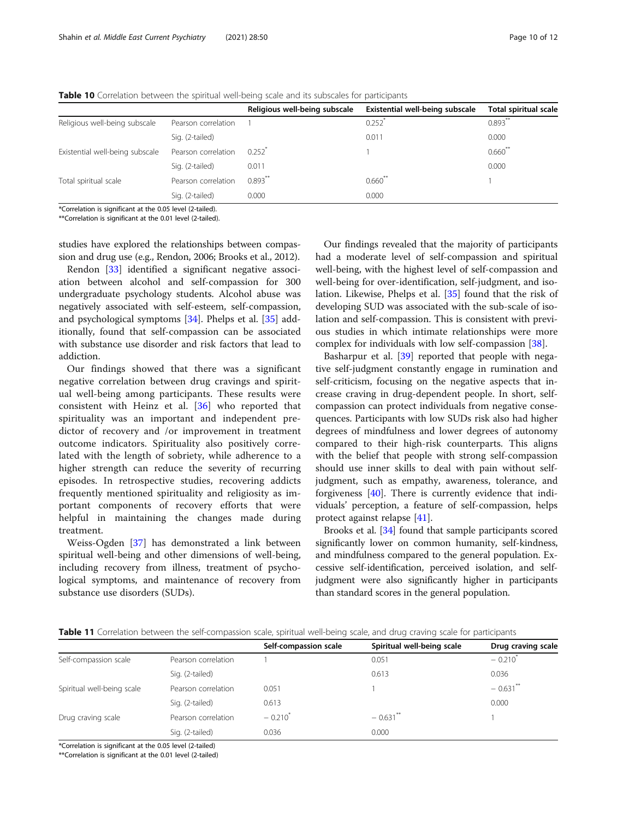<span id="page-9-0"></span>

| <b>Table 10</b> Correlation between the spiritual well-being scale and its subscales for participants |  |  |  |
|-------------------------------------------------------------------------------------------------------|--|--|--|
|-------------------------------------------------------------------------------------------------------|--|--|--|

|                                 |                     | Religious well-being subscale | Existential well-being subscale | <b>Total spiritual scale</b> |
|---------------------------------|---------------------|-------------------------------|---------------------------------|------------------------------|
| Religious well-being subscale   | Pearson correlation |                               | 0.252                           | $0.893***$                   |
|                                 | Sig. (2-tailed)     |                               | 0.011                           | 0.000                        |
| Existential well-being subscale | Pearson correlation | 0.252                         |                                 | $0.660**$                    |
|                                 | Sig. (2-tailed)     | 0.011                         |                                 | 0.000                        |
| Total spiritual scale           | Pearson correlation | $0.893**$                     | $0.660$ <sup>**</sup>           |                              |
|                                 | Sig. (2-tailed)     | 0.000                         | 0.000                           |                              |

\*Correlation is significant at the 0.05 level (2-tailed). \*\*Correlation is significant at the 0.01 level (2-tailed).

studies have explored the relationships between compassion and drug use (e.g., Rendon, 2006; Brooks et al., 2012).

Rendon [[33\]](#page-11-0) identified a significant negative association between alcohol and self-compassion for 300 undergraduate psychology students. Alcohol abuse was negatively associated with self-esteem, self-compassion, and psychological symptoms [\[34\]](#page-11-0). Phelps et al. [[35\]](#page-11-0) additionally, found that self-compassion can be associated with substance use disorder and risk factors that lead to addiction.

Our findings showed that there was a significant negative correlation between drug cravings and spiritual well-being among participants. These results were consistent with Heinz et al. [[36\]](#page-11-0) who reported that spirituality was an important and independent predictor of recovery and /or improvement in treatment outcome indicators. Spirituality also positively correlated with the length of sobriety, while adherence to a higher strength can reduce the severity of recurring episodes. In retrospective studies, recovering addicts frequently mentioned spirituality and religiosity as important components of recovery efforts that were helpful in maintaining the changes made during treatment.

Weiss-Ogden [\[37](#page-11-0)] has demonstrated a link between spiritual well-being and other dimensions of well-being, including recovery from illness, treatment of psychological symptoms, and maintenance of recovery from substance use disorders (SUDs).

Our findings revealed that the majority of participants had a moderate level of self-compassion and spiritual well-being, with the highest level of self-compassion and well-being for over-identification, self-judgment, and isolation. Likewise, Phelps et al. [[35\]](#page-11-0) found that the risk of developing SUD was associated with the sub-scale of isolation and self-compassion. This is consistent with previous studies in which intimate relationships were more complex for individuals with low self-compassion [\[38](#page-11-0)].

Basharpur et al. [[39](#page-11-0)] reported that people with negative self-judgment constantly engage in rumination and self-criticism, focusing on the negative aspects that increase craving in drug-dependent people. In short, selfcompassion can protect individuals from negative consequences. Participants with low SUDs risk also had higher degrees of mindfulness and lower degrees of autonomy compared to their high-risk counterparts. This aligns with the belief that people with strong self-compassion should use inner skills to deal with pain without selfjudgment, such as empathy, awareness, tolerance, and forgiveness [[40](#page-11-0)]. There is currently evidence that individuals' perception, a feature of self-compassion, helps protect against relapse [[41\]](#page-11-0).

Brooks et al. [[34](#page-11-0)] found that sample participants scored significantly lower on common humanity, self-kindness, and mindfulness compared to the general population. Excessive self-identification, perceived isolation, and selfjudgment were also significantly higher in participants than standard scores in the general population.

| <b>Table 11</b> Correlation between the self-compassion scale, spiritual well-being scale, and drug craving scale for participants |  |
|------------------------------------------------------------------------------------------------------------------------------------|--|
|------------------------------------------------------------------------------------------------------------------------------------|--|

|                            |                     | Self-compassion scale | Spiritual well-being scale | Drug craving scale     |
|----------------------------|---------------------|-----------------------|----------------------------|------------------------|
| Self-compassion scale      | Pearson correlation |                       | 0.051                      | $-0.210^{*}$           |
|                            | Sig. (2-tailed)     |                       | 0.613                      | 0.036                  |
| Spiritual well-being scale | Pearson correlation | 0.051                 |                            | $-0.631$ <sup>**</sup> |
|                            | Sig. (2-tailed)     | 0.613                 |                            | 0.000                  |
| Drug craving scale         | Pearson correlation | $-0.210^{*}$          | $-0.631$ <sup>**</sup>     |                        |
|                            | Sig. (2-tailed)     | 0.036                 | 0.000                      |                        |

\*Correlation is significant at the 0.05 level (2-tailed)

\*\*Correlation is significant at the 0.01 level (2-tailed)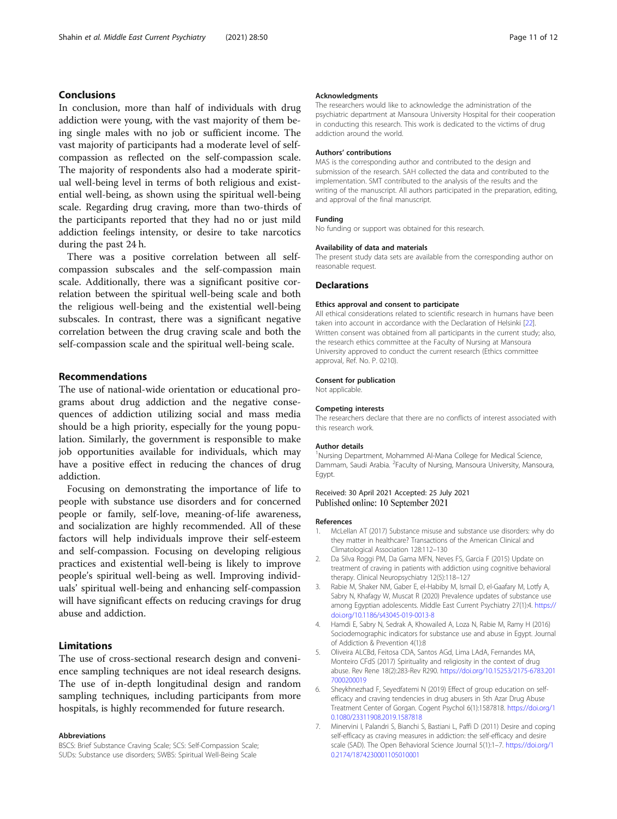# <span id="page-10-0"></span>Conclusions

In conclusion, more than half of individuals with drug addiction were young, with the vast majority of them being single males with no job or sufficient income. The vast majority of participants had a moderate level of selfcompassion as reflected on the self-compassion scale. The majority of respondents also had a moderate spiritual well-being level in terms of both religious and existential well-being, as shown using the spiritual well-being scale. Regarding drug craving, more than two-thirds of the participants reported that they had no or just mild addiction feelings intensity, or desire to take narcotics during the past 24 h.

There was a positive correlation between all selfcompassion subscales and the self-compassion main scale. Additionally, there was a significant positive correlation between the spiritual well-being scale and both the religious well-being and the existential well-being subscales. In contrast, there was a significant negative correlation between the drug craving scale and both the self-compassion scale and the spiritual well-being scale.

### Recommendations

The use of national-wide orientation or educational programs about drug addiction and the negative consequences of addiction utilizing social and mass media should be a high priority, especially for the young population. Similarly, the government is responsible to make job opportunities available for individuals, which may have a positive effect in reducing the chances of drug addiction.

Focusing on demonstrating the importance of life to people with substance use disorders and for concerned people or family, self-love, meaning-of-life awareness, and socialization are highly recommended. All of these factors will help individuals improve their self-esteem and self-compassion. Focusing on developing religious practices and existential well-being is likely to improve people's spiritual well-being as well. Improving individuals' spiritual well-being and enhancing self-compassion will have significant effects on reducing cravings for drug abuse and addiction.

# Limitations

The use of cross-sectional research design and convenience sampling techniques are not ideal research designs. The use of in-depth longitudinal design and random sampling techniques, including participants from more hospitals, is highly recommended for future research.

#### Abbreviations

BSCS: Brief Substance Craving Scale; SCS: Self-Compassion Scale; SUDs: Substance use disorders; SWBS: Spiritual Well-Being Scale

#### Acknowledgments

The researchers would like to acknowledge the administration of the psychiatric department at Mansoura University Hospital for their cooperation in conducting this research. This work is dedicated to the victims of drug addiction around the world.

#### Authors' contributions

MAS is the corresponding author and contributed to the design and submission of the research. SAH collected the data and contributed to the implementation. SMT contributed to the analysis of the results and the writing of the manuscript. All authors participated in the preparation, editing, and approval of the final manuscript.

#### Funding

No funding or support was obtained for this research.

#### Availability of data and materials

The present study data sets are available from the corresponding author on reasonable request.

#### **Declarations**

#### Ethics approval and consent to participate

All ethical considerations related to scientific research in humans have been taken into account in accordance with the Declaration of Helsinki [\[22](#page-11-0)]. Written consent was obtained from all participants in the current study; also, the research ethics committee at the Faculty of Nursing at Mansoura University approved to conduct the current research (Ethics committee approval, Ref. No. P. 0210).

#### Consent for publication

Not applicable.

#### Competing interests

The researchers declare that there are no conflicts of interest associated with this research work.

#### Author details

<sup>1</sup>Nursing Department, Mohammed Al-Mana College for Medical Science Dammam, Saudi Arabia. <sup>2</sup> Faculty of Nursing, Mansoura University, Mansoura, Egypt.

#### Received: 30 April 2021 Accepted: 25 July 2021 Published online: 10 September 2021

#### References

- 1. McLellan AT (2017) Substance misuse and substance use disorders: why do they matter in healthcare? Transactions of the American Clinical and Climatological Association 128:112–130
- 2. Da Silva Roggi PM, Da Gama MFN, Neves FS, Garcia F (2015) Update on treatment of craving in patients with addiction using cognitive behavioral therapy. Clinical Neuropsychiatry 12(5):118–127
- 3. Rabie M, Shaker NM, Gaber E, el-Habiby M, Ismail D, el-Gaafary M, Lotfy A, Sabry N, Khafagy W, Muscat R (2020) Prevalence updates of substance use among Egyptian adolescents. Middle East Current Psychiatry 27(1):4. [https://](https://doi.org/10.1186/s43045-019-0013-8) [doi.org/10.1186/s43045-019-0013-8](https://doi.org/10.1186/s43045-019-0013-8)
- 4. Hamdi E, Sabry N, Sedrak A, Khowailed A, Loza N, Rabie M, Ramy H (2016) Sociodemographic indicators for substance use and abuse in Egypt. Journal of Addiction & Prevention 4(1):8
- 5. Oliveira ALCBd, Feitosa CDA, Santos AGd, Lima LAdA, Fernandes MA, Monteiro CFdS (2017) Spirituality and religiosity in the context of drug abuse. Rev Rene 18(2):283-Rev R290. [https://doi.org/10.15253/2175-6783.201](https://doi.org/10.15253/2175-6783.2017000200019) [7000200019](https://doi.org/10.15253/2175-6783.2017000200019)
- 6. Sheykhnezhad F, Seyedfatemi N (2019) Effect of group education on selfefficacy and craving tendencies in drug abusers in 5th Azar Drug Abuse Treatment Center of Gorgan. Cogent Psychol 6(1):1587818. [https://doi.org/1](https://doi.org/10.1080/23311908.2019.1587818) [0.1080/23311908.2019.1587818](https://doi.org/10.1080/23311908.2019.1587818)
- 7. Minervini I, Palandri S, Bianchi S, Bastiani L, Paffi D (2011) Desire and coping self-efficacy as craving measures in addiction: the self-efficacy and desire scale (SAD). The Open Behavioral Science Journal 5(1):1–7. [https://doi.org/1](https://doi.org/10.2174/1874230001105010001) [0.2174/1874230001105010001](https://doi.org/10.2174/1874230001105010001)